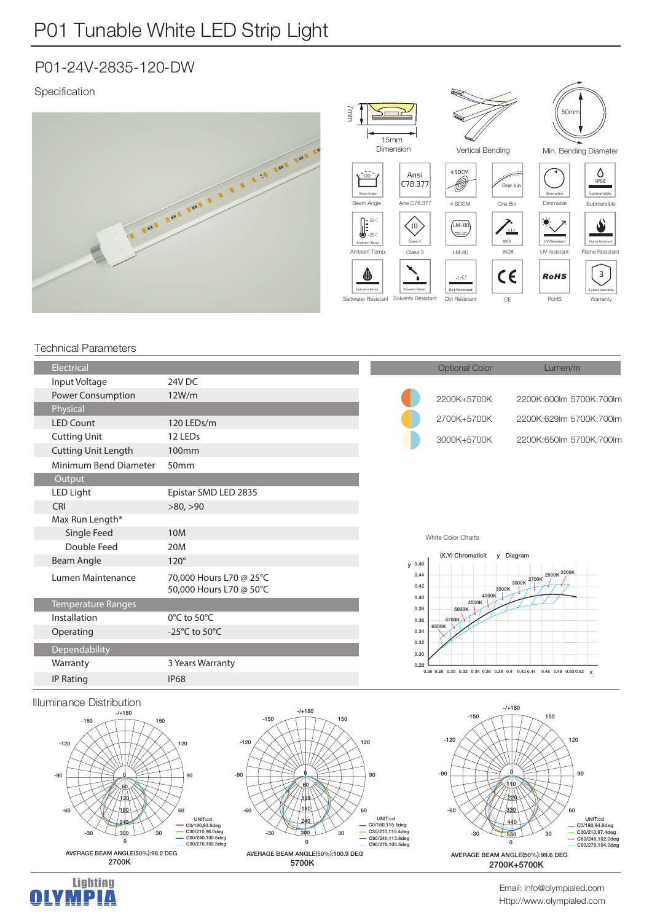## P01-24V-2835-120-DW

## Specification



## Technical Parameters

| Electrical                 |                                                    |                              | <b>Optional Color</b>                                                  | Lumen/m                       |  |
|----------------------------|----------------------------------------------------|------------------------------|------------------------------------------------------------------------|-------------------------------|--|
| Input Voltage              | 24V DC                                             |                              |                                                                        |                               |  |
| Power Consumption          | 12W/m                                              |                              | 2200K+5700K                                                            | 2200K:600lm 5700K:700lm       |  |
| Physical                   |                                                    |                              |                                                                        |                               |  |
| <b>LED Count</b>           | 120 LEDs/m                                         |                              | 2700K+5700K                                                            | 2200K:629lm 5700K:700lm       |  |
| <b>Cutting Unit</b>        | 12 LEDs                                            |                              | 3000K+5700K                                                            | 2200K:650lm 5700K:700lm       |  |
| <b>Cutting Unit Length</b> | 100mm                                              |                              |                                                                        |                               |  |
| Minimum Bend Diameter      | 50 <sub>mm</sub>                                   |                              |                                                                        |                               |  |
| Output                     |                                                    |                              |                                                                        |                               |  |
| LED Light                  | Epistar SMD LED 2835                               |                              |                                                                        |                               |  |
| CRI                        | >80, >90                                           |                              |                                                                        |                               |  |
| Max Run Length*            |                                                    |                              |                                                                        |                               |  |
| Single Feed                | 10M                                                |                              | White Color Charts                                                     |                               |  |
| Double Feed                | 20M                                                | (X,Y) Chromaticit<br>Diagram |                                                                        |                               |  |
| Beam Angle                 | $120^\circ$                                        | y 0.46                       | $\mathsf{v}$                                                           |                               |  |
| Lumen Maintenance          | 70,000 Hours L70 @ 25°C<br>50,000 Hours L70 @ 50°C | 0.44<br>0.42                 | 3500K                                                                  | 2500K 2200K<br>2700K<br>3000K |  |
| <b>Temperature Ranges</b>  |                                                    | 0.40<br>0.38                 | 4000K<br>4500K<br>5000K                                                |                               |  |
| Installation               | 0°C to 50°C                                        | 0.36                         | 5700K                                                                  |                               |  |
| Operating                  | -25 $^{\circ}$ C to 50 $^{\circ}$ C                | 6500K<br>0.34                |                                                                        |                               |  |
| Dependability              |                                                    | 0.32<br>0.30                 |                                                                        |                               |  |
| Warranty                   | 3 Years Warranty                                   | 0.28                         | 0.26 0.28 0.30 0.32 0.34 0.36 0.38 0.4 0.42 0.44 0.46 0.48 0.50 0.52 x |                               |  |
| <b>IP Rating</b>           | <b>IP68</b>                                        |                              |                                                                        |                               |  |







Http://www.olympialed.com Email: info@olympialed.com